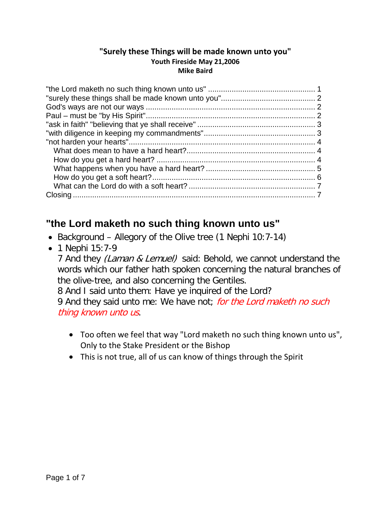#### **"Surely these Things will be made known unto you" Youth Fireside May 21,2006 Mike Baird**

### <span id="page-0-0"></span>**"the Lord maketh no such thing known unto us"**

- Background Allegory of the Olive tree (1 Nephi 10:7-14)
- 1 Nephi 15:7-9

7 And they *(Laman & Lemuel)* said: Behold, we cannot understand the words which our father hath spoken concerning the natural branches of the olive-tree, and also concerning the Gentiles.

8 And I said unto them: Have ye inquired of the Lord?

9 And they said unto me: We have not; for the Lord maketh no such thing known unto us.

- Too often we feel that way "Lord maketh no such thing known unto us", Only to the Stake President or the Bishop
- This is not true, all of us can know of things through the Spirit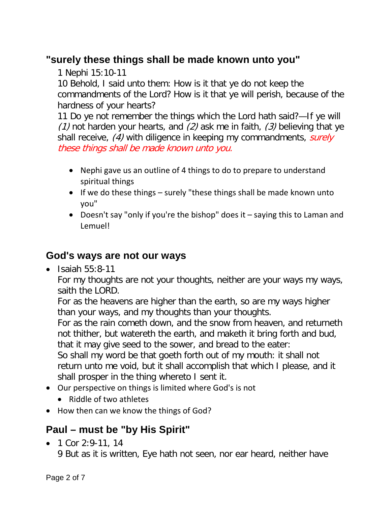# <span id="page-1-0"></span>**"surely these things shall be made known unto you"**

1 Nephi 15:10-11

10 Behold, I said unto them: How is it that ye do not keep the commandments of the Lord? How is it that ye will perish, because of the hardness of your hearts?

11 Do ye not remember the things which the Lord hath said?—If ye will (1) not harden your hearts, and (2) ask me in faith, (3) believing that ye shall receive, (4) with diligence in keeping my commandments, surely these things shall be made known unto you.

- Nephi gave us an outline of 4 things to do to prepare to understand spiritual things
- If we do these things surely "these things shall be made known unto you"
- Doesn't say "only if you're the bishop" does it saying this to Laman and Lemuel!

#### <span id="page-1-1"></span>**God's ways are not our ways**

 $\bullet$  Isaiah 55:8-11

For my thoughts are not your thoughts, neither are your ways my ways, saith the LORD.

For as the heavens are higher than the earth, so are my ways higher than your ways, and my thoughts than your thoughts.

For as the rain cometh down, and the snow from heaven, and returneth not thither, but watereth the earth, and maketh it bring forth and bud, that it may give seed to the sower, and bread to the eater:

So shall my word be that goeth forth out of my mouth: it shall not return unto me void, but it shall accomplish that which I please, and it shall prosper in the thing whereto I sent it.

- Our perspective on things is limited where God's is not
	- Riddle of two athletes
- How then can we know the things of God?

# <span id="page-1-2"></span>**Paul – must be "by His Spirit"**

• 1 Cor 2:9-11, 14

9 But as it is written, Eye hath not seen, nor ear heard, neither have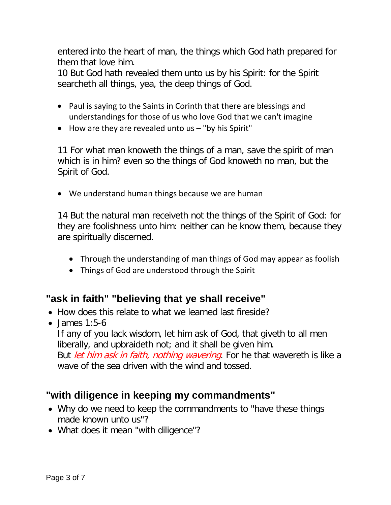entered into the heart of man, the things which God hath prepared for them that love him.

10 But God hath revealed them unto us by his Spirit: for the Spirit searcheth all things, yea, the deep things of God.

- Paul is saying to the Saints in Corinth that there are blessings and understandings for those of us who love God that we can't imagine
- How are they are revealed unto us "by his Spirit"

11 For what man knoweth the things of a man, save the spirit of man which is in him? even so the things of God knoweth no man, but the Spirit of God.

• We understand human things because we are human

14 But the natural man receiveth not the things of the Spirit of God: for they are foolishness unto him: neither can he know them, because they are spiritually discerned.

- Through the understanding of man things of God may appear as foolish
- Things of God are understood through the Spirit

# <span id="page-2-0"></span>**"ask in faith" "believing that ye shall receive"**

- How does this relate to what we learned last fireside?
- $\bullet$  James 1:5-6

If any of you lack wisdom, let him ask of God, that giveth to all men liberally, and upbraideth not; and it shall be given him.

But *let him ask in faith, nothing wavering*. For he that wavereth is like a wave of the sea driven with the wind and tossed.

# <span id="page-2-1"></span>**"with diligence in keeping my commandments"**

- Why do we need to keep the commandments to "have these things made known unto us"?
- What does it mean "with diligence"?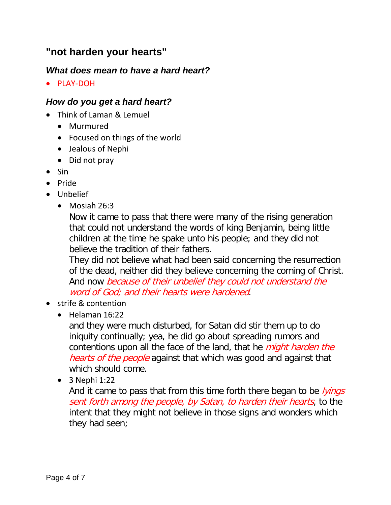### <span id="page-3-0"></span>**"not harden your hearts"**

#### <span id="page-3-1"></span>*What does mean to have a hard heart?*

• PLAY-DOH

#### <span id="page-3-2"></span>*How do you get a hard heart?*

- Think of Laman & Lemuel
	- Murmured
	- Focused on things of the world
	- Jealous of Nephi
	- Did not pray
- Sin
- Pride
- Unbelief
	- Mosiah 26:3

Now it came to pass that there were many of the rising generation that could not understand the words of king Benjamin, being little children at the time he spake unto his people; and they did not believe the tradition of their fathers.

They did not believe what had been said concerning the resurrection of the dead, neither did they believe concerning the coming of Christ. And now because of their unbelief they could not understand the word of God; and their hearts were hardened.

- strife & contention
	- Helaman 16:22

and they were much disturbed, for Satan did stir them up to do iniquity continually; yea, he did go about spreading rumors and contentions upon all the face of the land, that he *might harden the* hearts of the people against that which was good and against that which should come.

• 3 Nephi 1:22

And it came to pass that from this time forth there began to be *lyings* sent forth among the people, by Satan, to harden their hearts, to the intent that they might not believe in those signs and wonders which they had seen;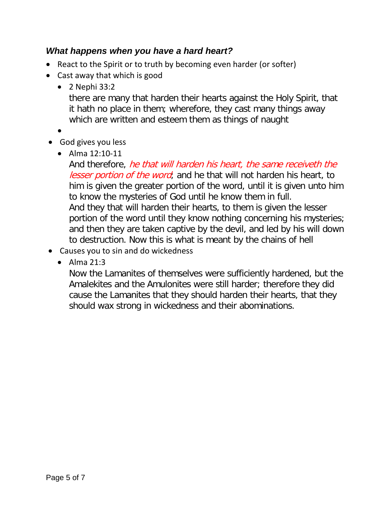#### <span id="page-4-0"></span>*What happens when you have a hard heart?*

- React to the Spirit or to truth by becoming even harder (or softer)
- Cast away that which is good
	- 2 Nephi 33:2

there are many that harden their hearts against the Holy Spirit, that it hath no place in them; wherefore, they cast many things away which are written and esteem them as things of naught

- •
- God gives you less
	- Alma 12:10-11

And therefore, he that will harden his heart, the same receiveth the lesser portion of the word; and he that will not harden his heart, to him is given the greater portion of the word, until it is given unto him to know the mysteries of God until he know them in full. And they that will harden their hearts, to them is given the lesser portion of the word until they know nothing concerning his mysteries; and then they are taken captive by the devil, and led by his will down to destruction. Now this is what is meant by the chains of hell

- Causes you to sin and do wickedness
	- Alma 21:3

Now the Lamanites of themselves were sufficiently hardened, but the Amalekites and the Amulonites were still harder; therefore they did cause the Lamanites that they should harden their hearts, that they should wax strong in wickedness and their abominations.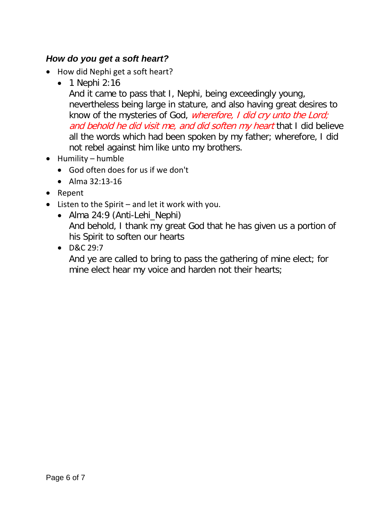#### <span id="page-5-0"></span>*How do you get a soft heart?*

- How did Nephi get a soft heart?
	- 1 Nephi 2:16

And it came to pass that I, Nephi, being exceedingly young, nevertheless being large in stature, and also having great desires to know of the mysteries of God, *wherefore, I did cry unto the Lord;* and behold he did visit me, and did soften my heart that I did believe all the words which had been spoken by my father; wherefore, I did not rebel against him like unto my brothers.

- Humility humble
	- God often does for us if we don't
	- Alma 32:13-16
- Repent
- Listen to the Spirit and let it work with you.
	- Alma 24:9 (Anti-Lehi\_Nephi) And behold, I thank my great God that he has given us a portion of his Spirit to soften our hearts
	- D&C 29:7

<span id="page-5-1"></span>And ye are called to bring to pass the gathering of mine elect; for mine elect hear my voice and harden not their hearts;